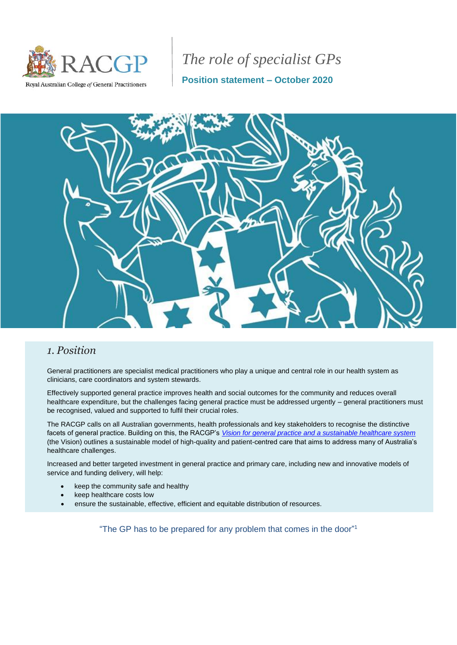

# *The role of specialist GPs*

**Position statement – October 2020**



### *1. Position*

General practitioners are specialist medical practitioners who play a unique and central role in our health system as clinicians, care coordinators and system stewards.

Effectively supported general practice improves health and social outcomes for the community and reduces overall healthcare expenditure, but the challenges facing general practice must be addressed urgently – general practitioners must be recognised, valued and supported to fulfil their crucial roles.

The RACGP calls on all Australian governments, health professionals and key stakeholders to recognise the distinctive facets of general practice. Building on this, the RACGP's *[Vision for general practice and a sustainable healthcare system](https://www.racgp.org.au/advocacy/advocacy-resources/the-vision-for-general-practice)* (the Vision) outlines a sustainable model of high-quality and patient-centred care that aims to address many of Australia's healthcare challenges.

Increased and better targeted investment in general practice and primary care, including new and innovative models of service and funding delivery, will help:

- keep the community safe and healthy
- keep healthcare costs low
- ensure the sustainable, effective, efficient and equitable distribution of resources.

"The GP has to be prepared for any problem that comes in the door"<sup>1</sup>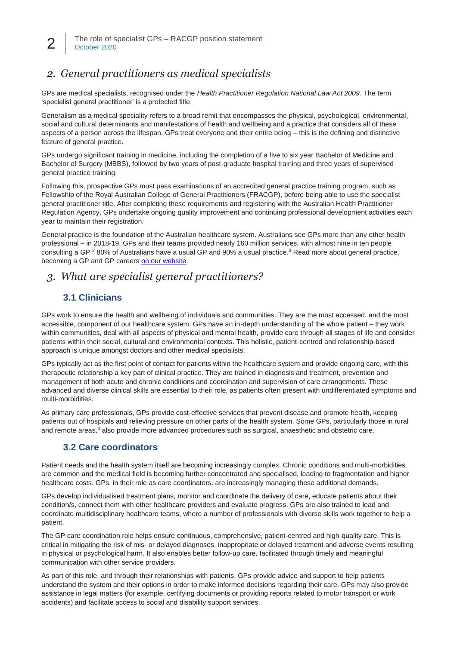# *2. General practitioners as medical specialists*

GPs are medical specialists, recognised under the *Health Practitioner Regulation National Law Act 2009*. The term 'specialist general practitioner' is a protected title.

Generalism as a medical speciality refers to a broad remit that encompasses the physical, psychological, environmental, social and cultural determinants and manifestations of health and wellbeing and a practice that considers all of these aspects of a person across the lifespan. GPs treat everyone and their entire being – this is the defining and distinctive feature of general practice.

GPs undergo significant training in medicine, including the completion of a five to six year Bachelor of Medicine and Bachelor of Surgery (MBBS), followed by two years of post-graduate hospital training and three years of supervised general practice training.

Following this, prospective GPs must pass examinations of an accredited general practice training program, such as Fellowship of the Royal Australian College of General Practitioners (FRACGP), before being able to use the specialist general practitioner title. After completing these requirements and registering with the Australian Health Practitioner Regulation Agency, GPs undertake ongoing quality improvement and continuing professional development activities each year to maintain their registration.

General practice is the foundation of the Australian healthcare system. Australians see GPs more than any other health professional – in 2018-19, GPs and their teams provided nearly 160 million services, with almost nine in ten people consulting a GP.<sup>2</sup> 80% of Australians have a usual GP and 90% a usual practice.<sup>3</sup> Read more about general practice, becoming a GP and GP careers [on our website.](https://www.racgp.org.au/education/students/a-career-in-general-practice)

### *3. What are specialist general practitioners?*

### **3.1 Clinicians**

GPs work to ensure the health and wellbeing of individuals and communities. They are the most accessed, and the most accessible, component of our healthcare system. GPs have an in-depth understanding of the whole patient – they work within communities, deal with all aspects of physical and mental health, provide care through all stages of life and consider patients within their social, cultural and environmental contexts. This holistic, patient-centred and relationship-based approach is unique amongst doctors and other medical specialists.

GPs typically act as the first point of contact for patients within the healthcare system and provide ongoing care, with this therapeutic relationship a key part of clinical practice. They are trained in diagnosis and treatment, prevention and management of both acute and chronic conditions and coordination and supervision of care arrangements. These advanced and diverse clinical skills are essential to their role, as patients often present with undifferentiated symptoms and multi-morbidities.

As primary care professionals, GPs provide cost-effective services that prevent disease and promote health, keeping patients out of hospitals and relieving pressure on other parts of the health system. Some GPs, particularly those in rural and remote areas,<sup>4</sup> also provide more advanced procedures such as surgical, anaesthetic and obstetric care.

#### **3.2 Care coordinators**

Patient needs and the health system itself are becoming increasingly complex. Chronic conditions and multi-morbidities are common and the medical field is becoming further concentrated and specialised, leading to fragmentation and higher healthcare costs. GPs, in their role as care coordinators, are increasingly managing these additional demands.

GPs develop individualised treatment plans, monitor and coordinate the delivery of care, educate patients about their condition/s, connect them with other healthcare providers and evaluate progress. GPs are also trained to lead and coordinate multidisciplinary healthcare teams, where a number of professionals with diverse skills work together to help a patient.

The GP care coordination role helps ensure continuous, comprehensive, patient-centred and high-quality care. This is critical in mitigating the risk of mis- or delayed diagnoses, inappropriate or delayed treatment and adverse events resulting in physical or psychological harm. It also enables better follow-up care, facilitated through timely and meaningful communication with other service providers.

As part of this role, and through their relationships with patients, GPs provide advice and support to help patients understand the system and their options in order to make informed decisions regarding their care. GPs may also provide assistance in legal matters (for example, certifying documents or providing reports related to motor transport or work accidents) and facilitate access to social and disability support services.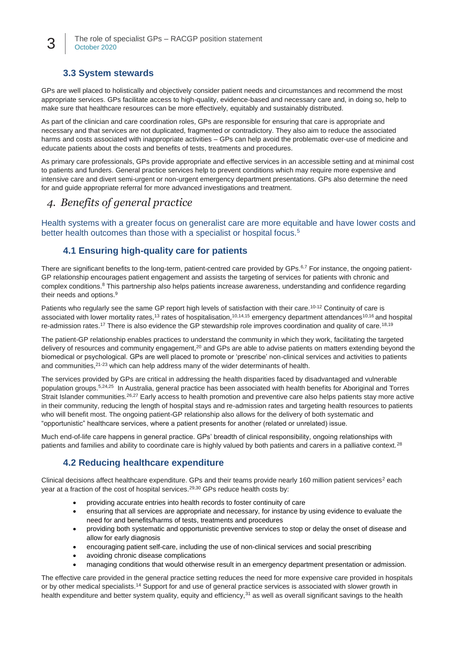### **3.3 System stewards**

3

GPs are well placed to holistically and objectively consider patient needs and circumstances and recommend the most appropriate services. GPs facilitate access to high-quality, evidence-based and necessary care and, in doing so, help to make sure that healthcare resources can be more effectively, equitably and sustainably distributed.

As part of the clinician and care coordination roles, GPs are responsible for ensuring that care is appropriate and necessary and that services are not duplicated, fragmented or contradictory. They also aim to reduce the associated harms and costs associated with inappropriate activities – GPs can help avoid the problematic over-use of medicine and educate patients about the costs and benefits of tests, treatments and procedures.

As primary care professionals, GPs provide appropriate and effective services in an accessible setting and at minimal cost to patients and funders. General practice services help to prevent conditions which may require more expensive and intensive care and divert semi-urgent or non-urgent emergency department presentations. GPs also determine the need for and guide appropriate referral for more advanced investigations and treatment.

### *4. Benefits of general practice*

Health systems with a greater focus on generalist care are more equitable and have lower costs and better health outcomes than those with a specialist or hospital focus.<sup>5</sup>

### **4.1 Ensuring high-quality care for patients**

There are significant benefits to the long-term, patient-centred care provided by GPs.<sup>6,7</sup> For instance, the ongoing patient-GP relationship encourages patient engagement and assists the targeting of services for patients with chronic and complex conditions.<sup>8</sup> This partnership also helps patients increase awareness, understanding and confidence regarding their needs and options.<sup>9</sup>

Patients who regularly see the same GP report high levels of satisfaction with their care.<sup>10-12</sup> Continuity of care is associated with lower mortality rates,<sup>13</sup> rates of hospitalisation,<sup>10,14,15</sup> emergency department attendances<sup>10,16</sup> and hospital re-admission rates.<sup>17</sup> There is also evidence the GP stewardship role improves coordination and quality of care.<sup>18,19</sup>

The patient-GP relationship enables practices to understand the community in which they work, facilitating the targeted delivery of resources and community engagement,<sup>20</sup> and GPs are able to advise patients on matters extending beyond the biomedical or psychological. GPs are well placed to promote or 'prescribe' non-clinical services and activities to patients and communities,21-23 which can help address many of the wider determinants of health.

The services provided by GPs are critical in addressing the health disparities faced by disadvantaged and vulnerable population groups.<sup>5,24,25</sup> In Australia, general practice has been associated with health benefits for Aboriginal and Torres Strait Islander communities.<sup>26,27</sup> Early access to health promotion and preventive care also helps patients stay more active in their community, reducing the length of hospital stays and re-admission rates and targeting health resources to patients who will benefit most. The ongoing patient-GP relationship also allows for the delivery of both systematic and "opportunistic" healthcare services, where a patient presents for another (related or unrelated) issue.

Much end-of-life care happens in general practice. GPs' breadth of clinical responsibility, ongoing relationships with patients and families and ability to coordinate care is highly valued by both patients and carers in a palliative context.<sup>28</sup>

### **4.2 Reducing healthcare expenditure**

Clinical decisions affect healthcare expenditure. GPs and their teams provide nearly 160 million patient services<sup>2</sup> each year at a fraction of the cost of hospital services.<sup>29,30</sup> GPs reduce health costs by:

- providing accurate entries into health records to foster continuity of care
- ensuring that all services are appropriate and necessary, for instance by using evidence to evaluate the need for and benefits/harms of tests, treatments and procedures
- providing both systematic and opportunistic preventive services to stop or delay the onset of disease and allow for early diagnosis
- encouraging patient self-care, including the use of non-clinical services and social prescribing
- avoiding chronic disease complications
- managing conditions that would otherwise result in an emergency department presentation or admission.

The effective care provided in the general practice setting reduces the need for more expensive care provided in hospitals or by other medical specialists.<sup>14</sup> Support for and use of general practice services is associated with slower growth in health expenditure and better system quality, equity and efficiency, $31$  as well as overall significant savings to the health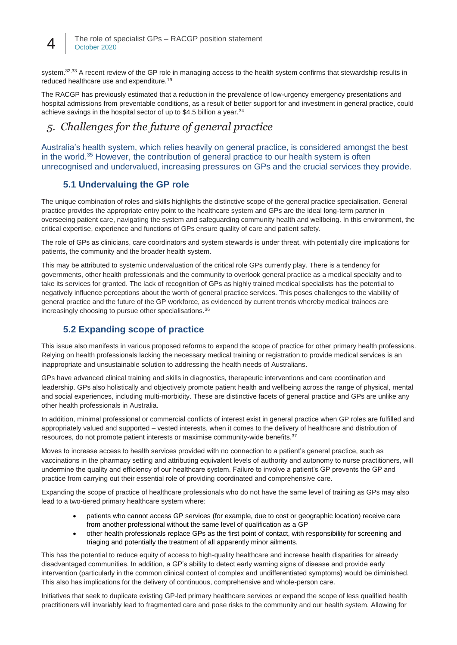

system.<sup>32,33</sup> A recent review of the GP role in managing access to the health system confirms that stewardship results in reduced healthcare use and expenditure.<sup>19</sup>

The RACGP has previously estimated that a reduction in the prevalence of low-urgency emergency presentations and hospital admissions from preventable conditions, as a result of better support for and investment in general practice, could achieve savings in the hospital sector of up to \$4.5 billion a year.<sup>34</sup>

## *5. Challenges for the future of general practice*

Australia's health system, which relies heavily on general practice, is considered amongst the best in the world.<sup>35</sup> However, the contribution of general practice to our health system is often unrecognised and undervalued, increasing pressures on GPs and the crucial services they provide.

### **5.1 Undervaluing the GP role**

The unique combination of roles and skills highlights the distinctive scope of the general practice specialisation. General practice provides the appropriate entry point to the healthcare system and GPs are the ideal long-term partner in overseeing patient care, navigating the system and safeguarding community health and wellbeing. In this environment, the critical expertise, experience and functions of GPs ensure quality of care and patient safety.

The role of GPs as clinicians, care coordinators and system stewards is under threat, with potentially dire implications for patients, the community and the broader health system.

This may be attributed to systemic undervaluation of the critical role GPs currently play. There is a tendency for governments, other health professionals and the community to overlook general practice as a medical specialty and to take its services for granted. The lack of recognition of GPs as highly trained medical specialists has the potential to negatively influence perceptions about the worth of general practice services. This poses challenges to the viability of general practice and the future of the GP workforce, as evidenced by current trends whereby medical trainees are increasingly choosing to pursue other specialisations.<sup>36</sup>

### **5.2 Expanding scope of practice**

This issue also manifests in various proposed reforms to expand the scope of practice for other primary health professions. Relying on health professionals lacking the necessary medical training or registration to provide medical services is an inappropriate and unsustainable solution to addressing the health needs of Australians.

GPs have advanced clinical training and skills in diagnostics, therapeutic interventions and care coordination and leadership. GPs also holistically and objectively promote patient health and wellbeing across the range of physical, mental and social experiences, including multi-morbidity. These are distinctive facets of general practice and GPs are unlike any other health professionals in Australia.

In addition, minimal professional or commercial conflicts of interest exist in general practice when GP roles are fulfilled and appropriately valued and supported – vested interests, when it comes to the delivery of healthcare and distribution of resources, do not promote patient interests or maximise community-wide benefits.<sup>37</sup>

Moves to increase access to health services provided with no connection to a patient's general practice, such as vaccinations in the pharmacy setting and attributing equivalent levels of authority and autonomy to nurse practitioners, will undermine the quality and efficiency of our healthcare system. Failure to involve a patient's GP prevents the GP and practice from carrying out their essential role of providing coordinated and comprehensive care.

Expanding the scope of practice of healthcare professionals who do not have the same level of training as GPs may also lead to a two-tiered primary healthcare system where:

- patients who cannot access GP services (for example, due to cost or geographic location) receive care from another professional without the same level of qualification as a GP
- other health professionals replace GPs as the first point of contact, with responsibility for screening and triaging and potentially the treatment of all apparently minor ailments.

This has the potential to reduce equity of access to high-quality healthcare and increase health disparities for already disadvantaged communities. In addition, a GP's ability to detect early warning signs of disease and provide early intervention (particularly in the common clinical context of complex and undifferentiated symptoms) would be diminished. This also has implications for the delivery of continuous, comprehensive and whole-person care.

Initiatives that seek to duplicate existing GP-led primary healthcare services or expand the scope of less qualified health practitioners will invariably lead to fragmented care and pose risks to the community and our health system. Allowing for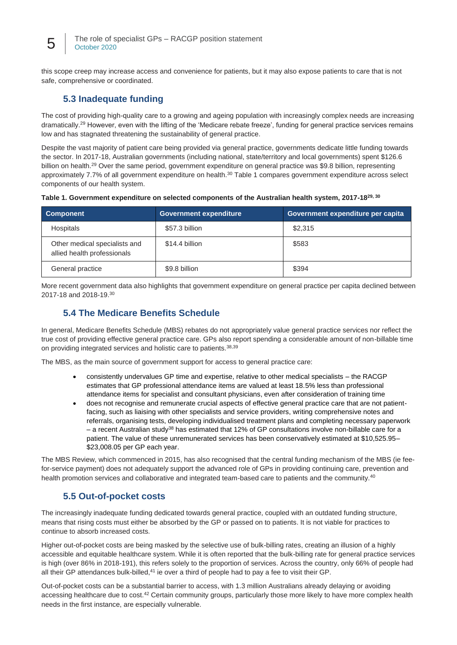this scope creep may increase access and convenience for patients, but it may also expose patients to care that is not safe, comprehensive or coordinated.

### **5.3 Inadequate funding**

The cost of providing high-quality care to a growing and ageing population with increasingly complex needs are increasing dramatically.<sup>29</sup> However, even with the lifting of the 'Medicare rebate freeze', funding for general practice services remains low and has stagnated threatening the sustainability of general practice.

Despite the vast majority of patient care being provided via general practice, governments dedicate little funding towards the sector. In 2017-18, Australian governments (including national, state/territory and local governments) spent \$126.6 billion on health.<sup>29</sup> Over the same period, government expenditure on general practice was \$9.8 billion, representing approximately 7.7% of all government expenditure on health.<sup>30</sup> Table 1 compares government expenditure across select components of our health system.

|  | Table 1. Government expenditure on selected components of the Australian health system, 2017-1829, 30 |  |
|--|-------------------------------------------------------------------------------------------------------|--|
|  |                                                                                                       |  |

| <b>Component</b>                                             | <b>Government expenditure</b> | Government expenditure per capita |  |
|--------------------------------------------------------------|-------------------------------|-----------------------------------|--|
| <b>Hospitals</b>                                             | \$57.3 billion                | \$2,315                           |  |
| Other medical specialists and<br>allied health professionals | \$14.4 billion                | \$583                             |  |
| General practice                                             | \$9.8 billion                 | \$394                             |  |

More recent government data also highlights that government expenditure on general practice per capita declined between 2017-18 and 2018-19.<sup>30</sup>

### **5.4 The Medicare Benefits Schedule**

In general, Medicare Benefits Schedule (MBS) rebates do not appropriately value general practice services nor reflect the true cost of providing effective general practice care. GPs also report spending a considerable amount of non-billable time on providing integrated services and holistic care to patients.<sup>38,39</sup>

The MBS, as the main source of government support for access to general practice care:

- consistently undervalues GP time and expertise, relative to other medical specialists the RACGP estimates that GP professional attendance items are valued at least 18.5% less than professional attendance items for specialist and consultant physicians, even after consideration of training time
- does not recognise and remunerate crucial aspects of effective general practice care that are not patientfacing, such as liaising with other specialists and service providers, writing comprehensive notes and referrals, organising tests, developing individualised treatment plans and completing necessary paperwork – a recent Australian study<sup>38</sup> has estimated that 12% of GP consultations involve non-billable care for a patient. The value of these unremunerated services has been conservatively estimated at \$10,525.95– \$23,008.05 per GP each year.

The MBS Review, which commenced in 2015, has also recognised that the central funding mechanism of the MBS (ie feefor-service payment) does not adequately support the advanced role of GPs in providing continuing care, prevention and health promotion services and collaborative and integrated team-based care to patients and the community.<sup>40</sup>

#### **5.5 Out-of-pocket costs**

The increasingly inadequate funding dedicated towards general practice, coupled with an outdated funding structure, means that rising costs must either be absorbed by the GP or passed on to patients. It is not viable for practices to continue to absorb increased costs.

Higher out-of-pocket costs are being masked by the selective use of bulk-billing rates, creating an illusion of a highly accessible and equitable healthcare system. While it is often reported that the bulk-billing rate for general practice services is high (over 86% in 2018-191), this refers solely to the proportion of services. Across the country, only 66% of people had all their GP attendances bulk-billed,<sup>41</sup> ie over a third of people had to pay a fee to visit their GP.

Out-of-pocket costs can be a substantial barrier to access, with 1.3 million Australians already delaying or avoiding accessing healthcare due to cost.<sup>42</sup> Certain community groups, particularly those more likely to have more complex health needs in the first instance, are especially vulnerable.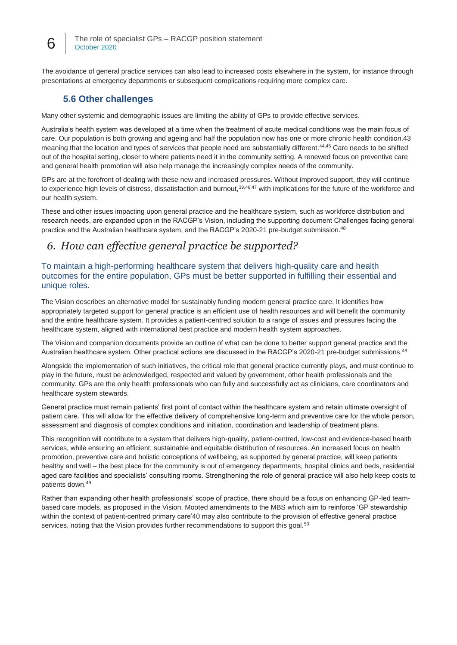The avoidance of general practice services can also lead to increased costs elsewhere in the system, for instance through presentations at emergency departments or subsequent complications requiring more complex care.

### **5.6 Other challenges**

Many other systemic and demographic issues are limiting the ability of GPs to provide effective services.

Australia's health system was developed at a time when the treatment of acute medical conditions was the main focus of care. Our population is both growing and ageing and half the population now has one or more chronic health condition,43 meaning that the location and types of services that people need are substantially different.<sup>44,45</sup> Care needs to be shifted out of the hospital setting, closer to where patients need it in the community setting. A renewed focus on preventive care and general health promotion will also help manage the increasingly complex needs of the community.

GPs are at the forefront of dealing with these new and increased pressures. Without improved support, they will continue to experience high levels of distress, dissatisfaction and burnout, 39,46,47 with implications for the future of the workforce and our health system.

These and other issues impacting upon general practice and the healthcare system, such as workforce distribution and research needs, are expanded upon in the RACGP's Vision, including the supporting document Challenges facing general practice and the Australian healthcare system, and the RACGP's 2020-21 pre-budget submission.<sup>48</sup>

### *6. How can effective general practice be supported?*

To maintain a high-performing healthcare system that delivers high-quality care and health outcomes for the entire population, GPs must be better supported in fulfilling their essential and unique roles.

The Vision describes an alternative model for sustainably funding modern general practice care. It identifies how appropriately targeted support for general practice is an efficient use of health resources and will benefit the community and the entire healthcare system. It provides a patient-centred solution to a range of issues and pressures facing the healthcare system, aligned with international best practice and modern health system approaches.

The Vision and companion documents provide an outline of what can be done to better support general practice and the Australian healthcare system. Other practical actions are discussed in the RACGP's 2020-21 pre-budget submissions.<sup>48</sup>

Alongside the implementation of such initiatives, the critical role that general practice currently plays, and must continue to play in the future, must be acknowledged, respected and valued by government, other health professionals and the community. GPs are the only health professionals who can fully and successfully act as clinicians, care coordinators and healthcare system stewards.

General practice must remain patients' first point of contact within the healthcare system and retain ultimate oversight of patient care. This will allow for the effective delivery of comprehensive long-term and preventive care for the whole person, assessment and diagnosis of complex conditions and initiation, coordination and leadership of treatment plans.

This recognition will contribute to a system that delivers high-quality, patient-centred, low-cost and evidence-based health services, while ensuring an efficient, sustainable and equitable distribution of resources. An increased focus on health promotion, preventive care and holistic conceptions of wellbeing, as supported by general practice, will keep patients healthy and well – the best place for the community is out of emergency departments, hospital clinics and beds, residential aged care facilities and specialists' consulting rooms. Strengthening the role of general practice will also help keep costs to patients down.<sup>49</sup>

Rather than expanding other health professionals' scope of practice, there should be a focus on enhancing GP-led teambased care models, as proposed in the Vision. Mooted amendments to the MBS which aim to reinforce 'GP stewardship within the context of patient-centred primary care'40 may also contribute to the provision of effective general practice services, noting that the Vision provides further recommendations to support this goal.<sup>50</sup>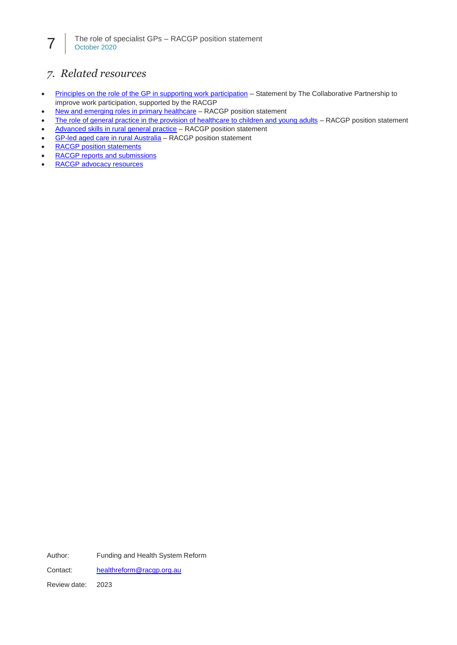# *7. Related resources*

- [Principles on the role of the GP in supporting work participation](https://www.racgp.org.au/FSDEDEV/media/documents/RACGP/Position%20statements/Principles-on-the-role-of-the-GP-in-supporting-work-participation.pdf) Statement by The Collaborative Partnership to improve work participation, supported by the RACGP
- [New and emerging roles in primary healthcare](https://www.racgp.org.au/advocacy/position-statements/view-all-position-statements/health-systems-and-environmental/new-and-emerging-roles-in-primary-healthcare) RACGP position statement
- The role [of general practice in the provision of healthcare to children and young adults](https://www.racgp.org.au/advocacy/position-statements/view-all-position-statements/clinical-and-practice-management/provision-of-healthcare-to-children-and-young) RACGP position statement
- [Advanced skills in rural general practice](https://www.racgp.org.au/advocacy/position-statements/view-all-position-statements/clinical-and-practice-management/advanced-skills-in-general-practice) RACGP position statement
- [GP-led aged care in rural Australia](https://www.racgp.org.au/advocacy/position-statements/view-all-position-statements/health-systems-and-environmental/gp-led-aged-care-in-rural-australia) RACGP position statement
- [RACGP position statements](https://www.racgp.org.au/advocacy/position-statements)
- [RACGP reports and submissions](https://www.racgp.org.au/advocacy/reports-and-submissions)
- [RACGP advocacy resources](https://www.racgp.org.au/advocacy/advocacy-resources)

Author: Funding and Health System Reform Contact: [healthreform@racgp.org.au](mailto:healthreform@racgp.org.au) Review date: 2023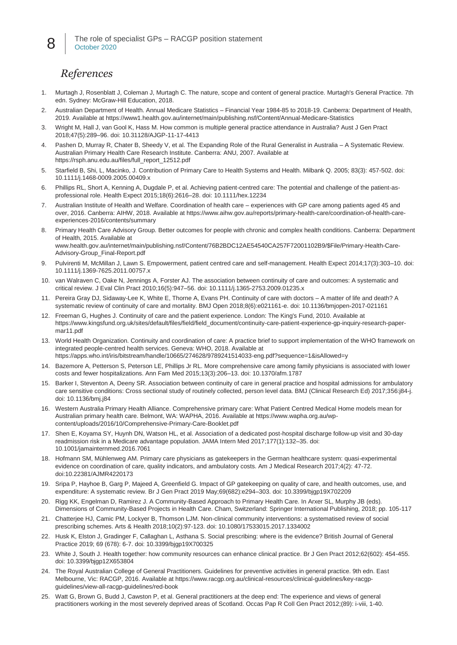### *References*

8

- 1. Murtagh J, Rosenblatt J, Coleman J, Murtagh C. The nature, scope and content of general practice. Murtagh's General Practice. 7th edn. Sydney: McGraw-Hill Education, 2018.
- 2. Australian Department of Health. Annual Medicare Statistics Financial Year 1984-85 to 2018-19. Canberra: Department of Health, 2019. Available at https://www1.health.gov.au/internet/main/publishing.nsf/Content/Annual-Medicare-Statistics
- 3. Wright M, Hall J, van Gool K, Hass M. How common is multiple general practice attendance in Australia? Aust J Gen Pract 2018;47(5):289–96. doi: 10.31128/AJGP-11-17-4413
- 4. Pashen D, Murray R, Chater B, Sheedy V, et al. The Expanding Role of the Rural Generalist in Australia A Systematic Review. Australian Primary Health Care Research Institute. Canberra: ANU, 2007. Available at https://rsph.anu.edu.au/files/full\_report\_12512.pdf
- 5. Starfield B, Shi, L, Macinko, J. Contribution of Primary Care to Health Systems and Health. Milbank Q. 2005; 83(3): 457-502. doi: 10.1111/j.1468-0009.2005.00409.x
- 6. Phillips RL, Short A, Kenning A, Dugdale P, et al. Achieving patient-centred care: The potential and challenge of the patient-asprofessional role. Health Expect 2015;18(6):2616–28. doi: 10.1111/hex.12234
- 7. Australian Institute of Health and Welfare. Coordination of health care experiences with GP care among patients aged 45 and over, 2016. Canberra: AIHW, 2018. Available at https://www.aihw.gov.au/reports/primary-health-care/coordination-of-health-careexperiences-2016/contents/summary
- 8. Primary Health Care Advisory Group. Better outcomes for people with chronic and complex health conditions. Canberra: Department of Health, 2015. Available at www.health.gov.au/internet/main/publishing.nsf/Content/76B2BDC12AE54540CA257F72001102B9/\$File/Primary-Health-Care-Advisory-Group\_Final-Report.pdf
- 9. Pulvirenti M, McMillan J, Lawn S. Empowerment, patient centred care and self-management. Health Expect 2014;17(3):303–10. doi: 10.1111/j.1369-7625.2011.00757.x
- 10. van Walraven C, Oake N, Jennings A, Forster AJ. The association between continuity of care and outcomes: A systematic and critical review. J Eval Clin Pract 2010;16(5):947–56. doi: 10.1111/j.1365-2753.2009.01235.x
- 11. Pereira Gray DJ, Sidaway-Lee K, White E, Thorne A, Evans PH. Continuity of care with doctors A matter of life and death? A systematic review of continuity of care and mortality. BMJ Open 2018;8(6):e021161-e. doi: 10.1136/bmjopen-2017-021161
- 12. Freeman G, Hughes J. Continuity of care and the patient experience. London: The King's Fund, 2010. Available at https://www.kingsfund.org.uk/sites/default/files/field/field\_document/continuity-care-patient-experience-gp-inquiry-research-papermar11.pdf
- 13. World Health Organization. Continuity and coordination of care: A practice brief to support implementation of the WHO framework on integrated people-centred health services. Geneva: WHO, 2018. Available at https://apps.who.int/iris/bitstream/handle/10665/274628/9789241514033-eng.pdf?sequence=1&isAllowed=y
- 14. Bazemore A, Petterson S, Peterson LE, Phillips Jr RL. More comprehensive care among family physicians is associated with lower costs and fewer hospitalizations. Ann Fam Med 2015;13(3):206–13. doi: 10.1370/afm.1787
- 15. Barker I, Steventon A, Deeny SR. Association between continuity of care in general practice and hospital admissions for ambulatory care sensitive conditions: Cross sectional study of routinely collected, person level data. BMJ (Clinical Research Ed) 2017;356:j84-j. doi: 10.1136/bmj.j84
- 16. Western Australia Primary Health Alliance. Comprehensive primary care: What Patient Centred Medical Home models mean for Australian primary health care. Belmont, WA: WAPHA, 2016. Available at https://www.wapha.org.au/wpcontent/uploads/2016/10/Comprehensive-Primary-Care-Booklet.pdf
- 17. Shen E, Koyama SY, Huynh DN, Watson HL, et al. Association of a dedicated post-hospital discharge follow-up visit and 30-day readmission risk in a Medicare advantage population. JAMA Intern Med 2017;177(1):132–35. doi: 10.1001/jamainternmed.2016.7061
- 18. Hofmann SM, Mühlenweg AM. Primary care physicians as gatekeepers in the German healthcare system: quasi-experimental evidence on coordination of care, quality indicators, and ambulatory costs. Am J Medical Research 2017;4(2): 47-72. doi:10.22381/AJMR4220173
- 19. Sripa P, Hayhoe B, Garg P, Majeed A, Greenfield G. Impact of GP gatekeeping on quality of care, and health outcomes, use, and expenditure: A systematic review. Br J Gen Pract 2019 May;69(682):e294–303. doi: 10.3399/bjgp19X702209
- 20. Rigg KK, Engelman D, Ramirez J. A Community-Based Approach to Primary Health Care. In Arxer SL, Murphy JB (eds). Dimensions of Community-Based Projects in Health Care. Cham, Switzerland: Springer International Publishing, 2018; pp. 105-117
- 21. Chatterjee HJ, Camic PM, Lockyer B, Thomson LJM. Non-clinical community interventions: a systematised review of social prescribing schemes. Arts & Health 2018;10(2):97-123. doi: 10.1080/17533015.2017.1334002
- 22. Husk K, Elston J, Gradinger F, Callaghan L, Asthana S. Social prescribing: where is the evidence? British Journal of General Practice 2019; 69 (678): 6-7. doi: 10.3399/bjgp19X700325
- 23. White J, South J. Health together: how community resources can enhance clinical practice. Br J Gen Pract 2012;62(602): 454-455. doi: 10.3399/bjgp12X653804
- 24. The Royal Australian College of General Practitioners. Guidelines for preventive activities in general practice. 9th edn. East Melbourne, Vic: RACGP, 2016. Available at https://www.racgp.org.au/clinical-resources/clinical-guidelines/key-racgpguidelines/view-all-racgp-guidelines/red-book
- 25. Watt G, Brown G, Budd J, Cawston P, et al. General practitioners at the deep end: The experience and views of general practitioners working in the most severely deprived areas of Scotland. Occas Pap R Coll Gen Pract 2012;(89): i-viii, 1-40.